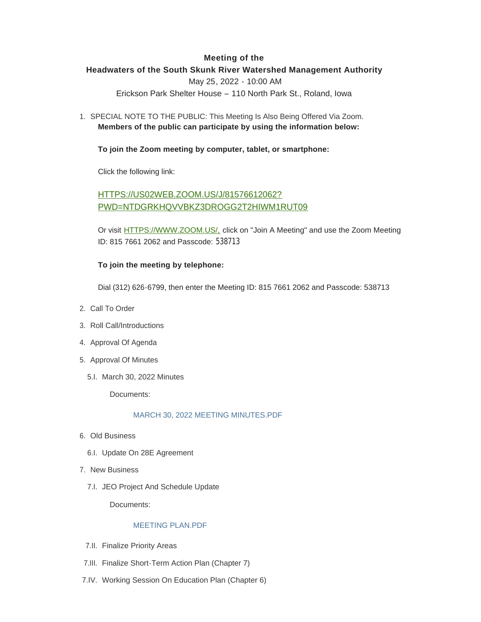# **Meeting of the**

# **Headwaters of the South Skunk River Watershed Management Authority**

May 25, 2022 - 10:00 AM

Erickson Park Shelter House – 110 North Park St., Roland, Iowa

1. SPECIAL NOTE TO THE PUBLIC: This Meeting Is Also Being Offered Via Zoom. **Members of the public can participate by using the information below:**

## **To join the Zoom meeting by computer, tablet, or smartphone:**

Click the following link:

# HTTPS://US02WEB.ZOOM.US/J/81576612062? [PWD=NTDGRKHQVVBKZ3DROGG2T2HIWM1RUT09](https://us02web.zoom.us/j/81576612062?pwd=NTdGRkhqVVBKZ3drOGg2T2hiWm1rUT09)

Or visit [HTTPS://WWW.ZOOM.US/,](https://www.zoom.us/,) click on "Join A Meeting" and use the Zoom Meeting ID: 815 7661 2062 and Passcode: 538713

# **To join the meeting by telephone:**

Dial (312) 626-6799, then enter the Meeting ID: 815 7661 2062 and Passcode: 538713

- 2. Call To Order
- 3. Roll Call/Introductions
- 4. Approval Of Agenda
- 5. Approval Of Minutes
	- 5.I. March 30, 2022 Minutes

Documents:

### [MARCH 30, 2022 MEETING MINUTES.PDF](http://www.storycountyiowa.gov/AgendaCenter/ViewFile/Item/24268?fileID=18261)

- Old Business 6.
	- 6.I. Update On 28E Agreement
- 7. New Business
	- 7.I. JEO Project And Schedule Update

Documents:

#### [MEETING PLAN.PDF](http://www.storycountyiowa.gov/AgendaCenter/ViewFile/Item/24253?fileID=18243)

- 7.II. Finalize Priority Areas
- Finalize Short-Term Action Plan (Chapter 7) 7.III.
- 7.IV. Working Session On Education Plan (Chapter 6)